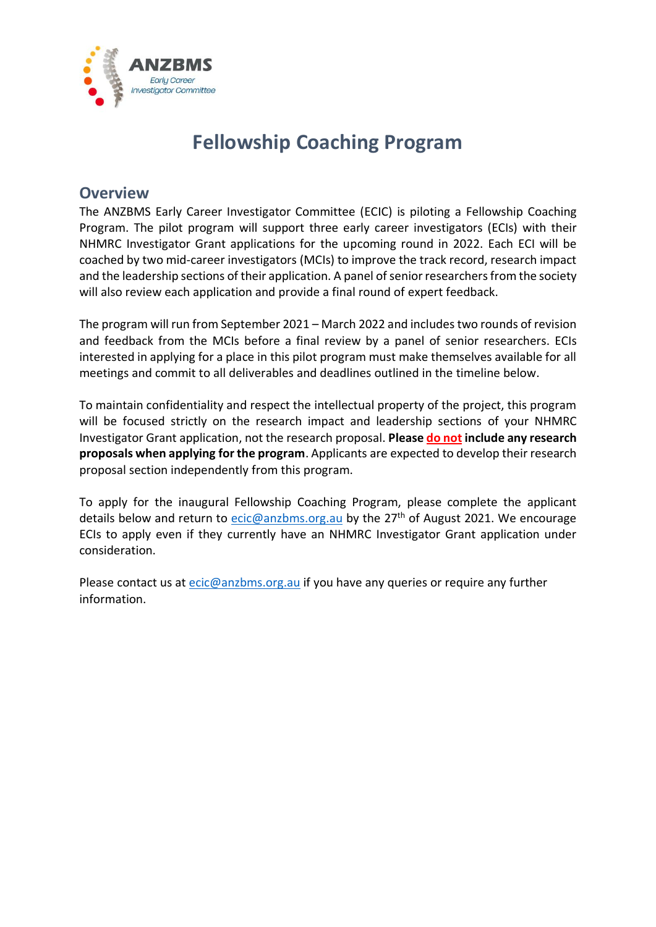

## **Fellowship Coaching Program**

### **Overview**

The ANZBMS Early Career Investigator Committee (ECIC) is piloting a Fellowship Coaching Program. The pilot program will support three early career investigators (ECIs) with their NHMRC Investigator Grant applications for the upcoming round in 2022. Each ECI will be coached by two mid-career investigators (MCIs) to improve the track record, research impact and the leadership sections of their application. A panel of senior researchers from the society will also review each application and provide a final round of expert feedback.

The program will run from September 2021 – March 2022 and includestwo rounds of revision and feedback from the MCIs before a final review by a panel of senior researchers. ECIs interested in applying for a place in this pilot program must make themselves available for all meetings and commit to all deliverables and deadlines outlined in the timeline below.

To maintain confidentiality and respect the intellectual property of the project, this program will be focused strictly on the research impact and leadership sections of your NHMRC Investigator Grant application, not the research proposal. **Please do not include any research proposals when applying for the program**. Applicants are expected to develop their research proposal section independently from this program.

To apply for the inaugural Fellowship Coaching Program, please complete the applicant details below and return to [ecic@anzbms.org.au](mailto:ecic@anzbms.org.au) by the 27<sup>th</sup> of August 2021. We encourage ECIs to apply even if they currently have an NHMRC Investigator Grant application under consideration.

Please contact us at [ecic@anzbms.org.au](mailto:ecic@anzbms.org.au) if you have any queries or require any further information.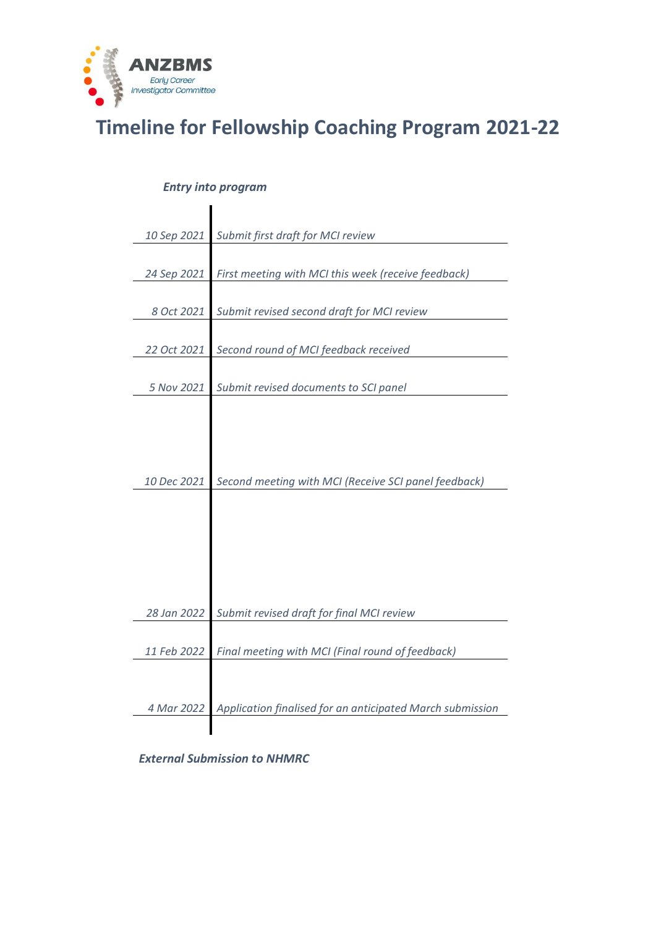

# **Timeline for Fellowship Coaching Program 2021-22**

### *Entry into program*

 $\blacksquare$ 

| 10 Sep 2021 | Submit first draft for MCI review                         |
|-------------|-----------------------------------------------------------|
|             |                                                           |
| 24 Sep 2021 | First meeting with MCI this week (receive feedback)       |
|             |                                                           |
| 8 Oct 2021  |                                                           |
|             | Submit revised second draft for MCI review                |
|             |                                                           |
| 22 Oct 2021 | Second round of MCI feedback received                     |
|             |                                                           |
| 5 Nov 2021  | Submit revised documents to SCI panel                     |
|             |                                                           |
|             |                                                           |
|             |                                                           |
|             |                                                           |
|             |                                                           |
| 10 Dec 2021 | Second meeting with MCI (Receive SCI panel feedback)      |
|             |                                                           |
|             |                                                           |
|             |                                                           |
|             |                                                           |
|             |                                                           |
|             |                                                           |
|             |                                                           |
| 28 Jan 2022 | Submit revised draft for final MCI review                 |
|             |                                                           |
| 11 Feb 2022 | Final meeting with MCI (Final round of feedback)          |
|             |                                                           |
|             |                                                           |
| 4 Mar 2022  | Application finalised for an anticipated March submission |
|             |                                                           |
|             |                                                           |

#### *External Submission to NHMRC*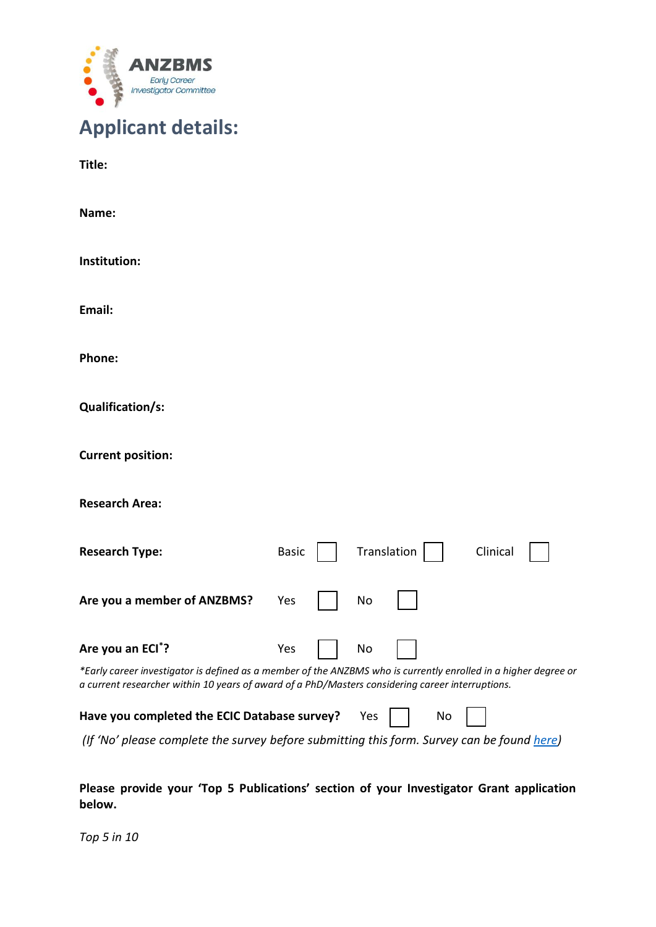

| <b>Applicant details:</b> |  |
|---------------------------|--|
|---------------------------|--|

**Title:**

**Name: Institution: Email: Phone: Qualification/s: Current position: Research Area: Research Type:** Basic | Translation | Clinical **Are you a member of ANZBMS?** Yes  $\vert$  No **Are you an ECI\*?** Yes No *\*Early career investigator is defined as a member of the ANZBMS who is currently enrolled in a higher degree or a current researcher within 10 years of award of a PhD/Masters considering career interruptions.*  Have you completed the ECIC Database survey? Yes | | No *(If 'No' please complete the survey before submitting this form. Survey can be found [here\)](https://forms.gle/4BDXyP5Wriwfk6qH7)*

**Please provide your 'Top 5 Publications' section of your Investigator Grant application below.**

*Top 5 in 10*